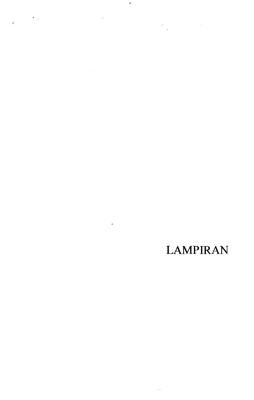$\label{eq:2.1} \begin{array}{ll} \mathcal{N}_{\text{max}} & \mathcal{N}_{\text{max}} \\ \mathcal{N}_{\text{max}} & \mathcal{N}_{\text{max}} \end{array}$ 

 $\bar{z}$  .

 $\mathcal{A}_{\mathcal{A}}$  .

 $\mathcal{L}^{\text{max}}_{\text{max}}$  , where  $\mathcal{L}^{\text{max}}_{\text{max}}$ 

 $\vec{q}$ 

 $\mathbb{R}^2$ 

 $\ddot{\phantom{1}}$ 

 $\mathcal{L}^{\text{max}}_{\text{max}}$ 

## **LAMPIRAN**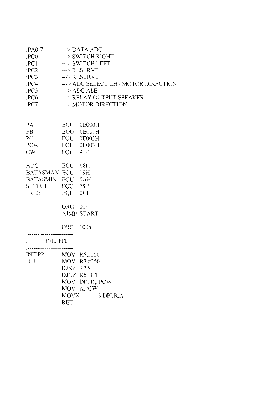| $PAO-7$          |                      | $\rightarrow$ DATA ADC               |  |  |
|------------------|----------------------|--------------------------------------|--|--|
| :PC0             | ---> SWITCH RIGHT    |                                      |  |  |
| PC1              | ---> SWITCH LEFT     |                                      |  |  |
| PC2              | $\leftarrow$ RESERVE |                                      |  |  |
| PC3              |                      | --->RESERVE                          |  |  |
| PCA              |                      | ---> ADC SELECT CH / MOTOR DIRECTION |  |  |
| PC5              |                      | $\rightarrow$ ADC ALE                |  |  |
| P <sub>CG</sub>  |                      | ---> RELAY OUTPUT SPEAKER            |  |  |
| :PC7             |                      | ---> MOTOR DIRECTION                 |  |  |
|                  |                      |                                      |  |  |
|                  |                      |                                      |  |  |
| <b>PA</b>        | EOU                  | 0E000H                               |  |  |
| <b>PB</b>        |                      | EOU 0E001H                           |  |  |
| PC               |                      | EQU 0E002H                           |  |  |
| PCW              |                      | EOU 0E003H                           |  |  |
| CW               | EOU 91H              |                                      |  |  |
|                  |                      |                                      |  |  |
| <b>ADC</b>       | EQU 08H              |                                      |  |  |
| BATASMAX EQU 09H |                      |                                      |  |  |
| BATASMIN EQU 0AH |                      |                                      |  |  |
| <b>SELECT</b>    | EQU 25H              |                                      |  |  |
| <b>FREE</b>      | <b>EQU</b>           | 0CH                                  |  |  |
|                  |                      |                                      |  |  |
|                  | <b>ORG</b>           | 00h                                  |  |  |
|                  |                      | <b>AJMP START</b>                    |  |  |
|                  |                      |                                      |  |  |
|                  | <b>ORG</b>           | 100h                                 |  |  |
|                  |                      |                                      |  |  |
| <b>INIT PPI</b>  |                      |                                      |  |  |
|                  |                      |                                      |  |  |
| <b>INITPPI</b>   |                      | MOV R6,#250                          |  |  |
| DEL              |                      | MOV R7,#250                          |  |  |
|                  | DJNZ R7.S            |                                      |  |  |
|                  |                      | DJNZ R6.DEL                          |  |  |
|                  |                      | MOV DPTR,#PCW                        |  |  |
|                  |                      | MOV A.#CW                            |  |  |
|                  | <b>MOVX</b>          | @DPTR.A                              |  |  |
|                  | <b>RET</b>           |                                      |  |  |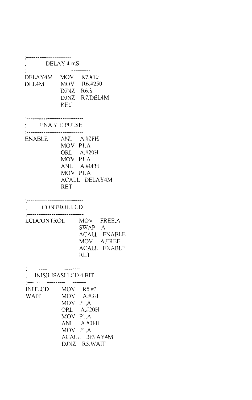| DELAY 4 mS                      |                                   |                                                                                                |
|---------------------------------|-----------------------------------|------------------------------------------------------------------------------------------------|
| DELAY4M MOV R7.#10<br>DEL4M –   | DJNZ R6.\$<br>RET <sub>1</sub>    | MOV R6.#250<br>DJNZ R7, DEL4M                                                                  |
| <b>ENABLE PULSE</b>             |                                   |                                                                                                |
| <b>ENABLE</b>                   | MOV P1.A<br>MOV PLA<br><b>RET</b> | ANL A.#0FH<br>ORL A,#20H<br>MOV PLA<br>ANL A,#0FH<br>ACALL DELAY4M                             |
| CONTROL LCD                     |                                   |                                                                                                |
| LCDCONTROL                      |                                   | MOV FREE.A<br>SWAP A<br><b>ACALL ENABLE</b><br>MOV A.FREE<br><b>ACALL ENABLE</b><br><b>RET</b> |
| : INISILISASI LCD 4 BIT         |                                   |                                                                                                |
| INITLCD MOV R5#3<br><b>WAIT</b> | MOV P1,A<br>MOV PLA<br>MOV P1,A   | MOV A,#3H<br>ORL A.#20H<br>ANL A.#0FH<br><b>ACALL DELAY4M</b><br>DJNZ R5.WAIT                  |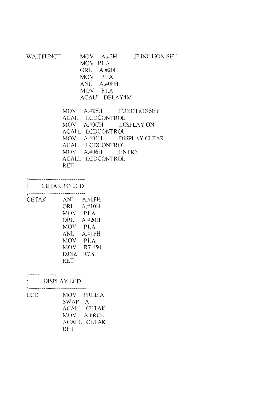| WAITFUNCT | $MOV = A. \#2H$      | :FUNCTION SET |
|-----------|----------------------|---------------|
|           | MOV PLA              |               |
|           | ORL A#20H            |               |
|           | MOV PLA              |               |
|           | ANL A.#0FH           |               |
|           | MOV PLA              |               |
|           | <b>ACALL DELAY4M</b> |               |
|           |                      |               |

MOY A.#2FH :FUNCTIONSET ACALL LCDCONTROL MOV A.#0CH :DISPLAY ON ACALL LCDCONTROL MOY A.#OIH :DISPLAY CLEAR ACALL LCDCONTROL MOY A.#06H :ENTRY ACALL LCDCONTROL RET

......................

CETAK TO LCD 

| <b>CETAK</b> | ANL        | A.#OFH           |
|--------------|------------|------------------|
|              | ORL        | A#10H            |
|              | <b>MOV</b> | P1.A             |
|              | ORL        | A#20H            |
|              | MOV        | P <sub>1</sub> A |
|              | ANL        | A#1FH            |
|              | <b>MOV</b> | P1.A             |
|              | <b>MOV</b> | R7.#50           |
|              | DJNZ       | <b>R7.S</b>      |
|              | <b>RET</b> |                  |

|            | <b>DISPLAY LCD</b> |
|------------|--------------------|
|            |                    |
| <b>LCD</b> | MOV FREE.A         |
|            | SWAP A             |
|            | <b>ACALL CETAK</b> |
|            | MOV A.FREE         |
|            | ACALL CETAK        |
|            | RET                |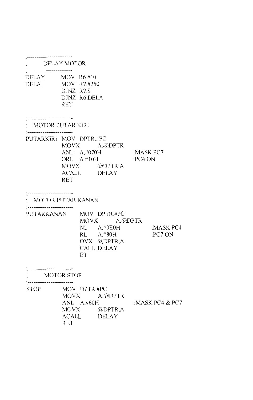|                               | DELAY MOTOR                                                                                                              |                    |
|-------------------------------|--------------------------------------------------------------------------------------------------------------------------|--------------------|
| ---------------------<br>DELA | DELAY MOV R6,#10<br>MOV R7.#250<br>DJNZ R7.S<br>DJNZ R6, DELA<br><b>RET</b>                                              |                    |
| : MOTOR PUTAR KIRI            |                                                                                                                          |                    |
| ------------------------      | PUTARKIRI MOV DPTR.#PC<br>MOVX A.@DPTR<br>ANL A,#070H :MASK PC7<br>ORL A.#10H<br>MOVX @DPTR,A<br>ACALL DELAY<br>RET      | PC4 ON             |
|                               | : MOTOR PUTAR KANAN                                                                                                      |                    |
|                               | PUTARKANAN MOV DPTR.#PC<br>MOVX A, @DPTR<br>$NL$ $A, \#0E0H$<br>$RL$ $A.#80H$<br>OVX @DPTR.A<br><b>CALL DELAY</b><br>ET. | :MASK PC4<br>PCTON |
|                               | <b>MOTOR STOP</b>                                                                                                        |                    |
| STOP                          | MOV DPTR.#PC<br>A.@DPTR<br><b>MOVX</b><br>ANL A.#60H<br>MOVX –<br>@DPTR.A<br>ACALL<br>DELAY<br><b>RET</b>                | : MASK PC4 $&$ PC7 |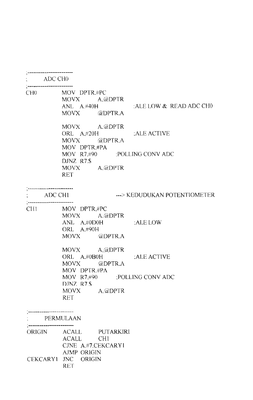|               | $\therefore$ ADC CHO                            |                                                                                                                                                                                              |
|---------------|-------------------------------------------------|----------------------------------------------------------------------------------------------------------------------------------------------------------------------------------------------|
|               | .<br>`=========================<br><sup>7</sup> | CH0 MOV DPTR.#PC<br>MOVX A, @DPTR<br>ANL A.#40H :ALE LOW & READ ADC CHO<br>MOVX @DPTR.A                                                                                                      |
|               |                                                 | MOVX A.@DPTR<br>ORL A.#20H : ALE ACTIVE<br>MOVX @DPTR,A                                                                                                                                      |
|               |                                                 | MOV DPTR.#PA<br>MOV R7.#90 :POLLING CONV ADC<br>DJNZ R7.S<br>MOVX A.@DPTR<br>RET                                                                                                             |
|               |                                                 | ---> KEDUDUKAN POTENTIOMETER<br>$\therefore$ ADC CH1                                                                                                                                         |
|               |                                                 | CHI MOV DPTR.#PC<br>MOVX A.@DPTR<br>$\begin{array}{ll}\n\textbf{ANL} & \textbf{A,} \textit{\#0DOH} \\ \textbf{ANL} & \textbf{A,} \textit{\#0DOH}\n\end{array}$<br>ORL A.#90H<br>MOVX @DPTR.A |
|               |                                                 | MOVX A,@DPTR<br>ORL A.#0B0H :ALE ACTIVE<br>MOVX @DPTR,A                                                                                                                                      |
|               |                                                 | MOV DPTR.#PA<br>MOV R7.#90 :POLLING CONV ADC<br>D.INZ R7.\$<br>MOVX A.@DPTR<br><b>RET</b>                                                                                                    |
|               |                                                 | PERMULAAN                                                                                                                                                                                    |
| <b>ORIGIN</b> |                                                 | ACALL PUTARKIRI<br>ACALL<br>CH <sub>1</sub><br>CJNE A.#7.CEKCARY1                                                                                                                            |
|               | <b>CEKCARY1</b>                                 | <b>AJMP ORIGIN</b><br>JNC ORIGIN<br><b>RET</b>                                                                                                                                               |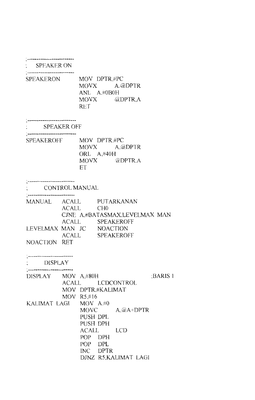SPEAKER ON

.<br>. \_\_\_\_\_\_\_\_\_\_\_\_\_\_\_\_\_\_\_\_\_\_\_\_\_\_\_\_

SPEAKERON MOV DPTR,#PC<br>MOVX A.6 A.@DPTR ANL A.#0B0H<br>MOVX (a)  $\omega$ DPTR,A RET

-\*\*\*\*\*\*\*\*\*\*\*\*\*\*\*\*

SPEAKER OFF ' \_\_\_\_\_\_\_\_\_\_\_\_\_\_\_\_\_\_\_\_\_\_\_\_\_\_\_\_\_

| SPEAKEROFF | MOV DPTR #PC |                 |
|------------|--------------|-----------------|
|            |              | MOVX A.@DPTR    |
|            | ORL A.#40H   |                 |
|            | MOVX —       | <b>CODPTR A</b> |
|            | ET.          |                 |
|            |              |                 |

\_\_\_\_\_\_\_\_\_\_\_\_\_\_\_\_\_\_\_\_\_\_\_

CONTROL MANUAL MANUAL ACALL PUTARKANAN ACALL CHO CINE A.#BATASMAX.LEVELMAX MAN ACALL SPEAKEROFF LEVELMAX MAN JC NOACTION ACALL SPEAKEROFF NOACTlON RET

| DISPLAY MOV A.#80H    |                   |           |                       | :BARIS 1 |
|-----------------------|-------------------|-----------|-----------------------|----------|
|                       |                   |           | ACALL LCDCONTROL      |          |
|                       | MOV DPTR.#KALIMAT |           |                       |          |
|                       | MOV $R5,\#16$     |           |                       |          |
| KALIMAT LAGI MOV A.#0 |                   |           |                       |          |
|                       |                   |           | MOVC $A, @A+DPTR$     |          |
|                       | PUSH DPL          |           |                       |          |
|                       | PUSH DPH          |           |                       |          |
|                       |                   | ACALL LCD |                       |          |
|                       | POP DPH           |           |                       |          |
|                       | POP DPL           |           |                       |          |
|                       |                   | INC DPTR  |                       |          |
|                       |                   |           | DJNZ R5, KALIMAT LAGI |          |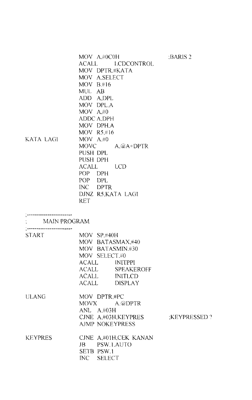| KATA LAGI                                     | MOV A.#0C0H<br>ACALL<br><b>LCDCONTROL</b><br>MOV DPTR.#KATA<br>MOV A.SELECT<br>MOV B.#16<br>MUL AB<br>ADD A,DPL<br>MOV DPL.A<br>MOV A, #0<br><b>ADDC A.DPH</b><br>MOV DPH.A<br>MOV R5,#16<br>MOV A#0<br>MOVC $A, @A+DPTR$<br>PUSH DPL<br>PUSH DPH<br>ACALL LCD<br>POP DPH<br>POP DPL<br>INC DPTR<br>DJNZ R5, KATA LAGI<br><b>RET</b> | :BARIS 2     |
|-----------------------------------------------|--------------------------------------------------------------------------------------------------------------------------------------------------------------------------------------------------------------------------------------------------------------------------------------------------------------------------------------|--------------|
| : MAIN PROGRAM                                |                                                                                                                                                                                                                                                                                                                                      |              |
| ; ___________________________<br><b>START</b> |                                                                                                                                                                                                                                                                                                                                      |              |
|                                               | MOV SP.#40H<br>MOV BATASMAX,#40<br>MOV BATASMIN.#30<br>MOV SELECT.#0<br>ACALL INITPPI<br>ACALL SPEAKEROFF<br>ACALL INITLCD<br>ACALL<br><b>DISPLAY</b>                                                                                                                                                                                |              |
| <b>ULANG</b>                                  | MOV DPTR.#PC<br>MOVX A.@DPTR<br>ANL A.#03H<br>CJNE A,#03H,KEYPRES<br><b>AJMP NOKEYPRESS</b>                                                                                                                                                                                                                                          | :KEYPRESSED? |
| <b>KEYPRES</b>                                | CJNE A,#01H,CEK KANAN<br>JB PSW.1.AUTO<br>SETB PSW.1<br>INC SELECT                                                                                                                                                                                                                                                                   |              |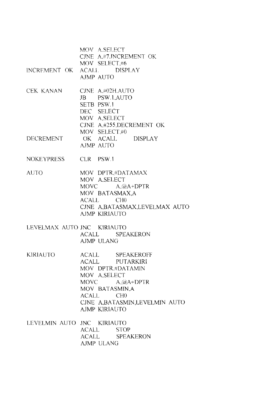|                            | MOV A.SELECT<br>CINE A.#7.INCREMENT OK<br>MOV SELECT.#6                                                                                                                                             |
|----------------------------|-----------------------------------------------------------------------------------------------------------------------------------------------------------------------------------------------------|
|                            | INCREMENT OK ACALL DISPLAY<br>AJMP AUTO                                                                                                                                                             |
| <b>CEK KANAN</b>           | CJNE $A#02H.AUTO$<br>JB PSW.1,AUTO<br>SETB PSW.1<br>DEC SELECT<br>MOV A, SELECT<br>CJNE A.#255.DECREMENT OK<br>MOV SELECT,#0                                                                        |
| DECREMENT                  | OK ACALL DISPLAY<br>AJMP AUTO                                                                                                                                                                       |
| NOKEYPRESS                 | CLR PSW.1                                                                                                                                                                                           |
| <b>AUTO</b>                | MOV DPTR,#DATAMAX<br>MOV A.SELECT<br>MOVC $A, @A+DPTR$<br>MOV BATASMAX,A<br>ACALL<br>CH <sub>0</sub><br>CJNE A, BATASMAX, LEVELMAX AUTO<br><b>AJMP KIRIAUTO</b>                                     |
| LEVELMAX AUTO JNC KIRIAUTO | ACALL SPEAKERON<br><b>AJMP ULANG</b>                                                                                                                                                                |
| KIRIAUTO-                  | ACALL SPEAKEROFF<br>ACALL PUTARKIRI<br>MOV DPTR.#DATAMIN<br>MOV A, SELECT<br>MOVC $A, (a)$ A+DPTR<br>MOV BATASMIN.A<br>ACALL<br>CH <sub>0</sub><br>CINE A, BATASMIN, LEVELMIN AUTO<br>AJMP KIRIAUTO |
| LEVELMIN AUTO JNC KIRIAUTO | ACALL<br><b>STOP</b><br>ACALL SPEAKERON<br>AJMP ULANG                                                                                                                                               |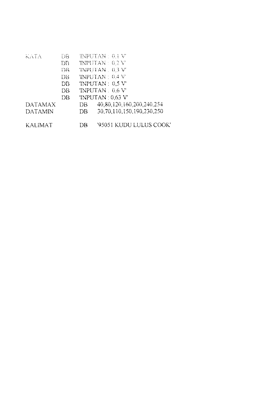| KATA           | DB.             |     | $\mathbb{R}\mathbb{R}$ PUTAN : 0.1 V |
|----------------|-----------------|-----|--------------------------------------|
|                | $\overline{DB}$ |     | <b>INPUTAN: 0.2 V</b>                |
|                | ĐB              |     | TNPUTAN . 0.3 V                      |
|                | DВ              |     | 'INPUTAN: 0.4 V'                     |
|                | DB              |     | TNPUTAN: 0.5 V                       |
|                | DВ              |     | 'INPUTAN: 0.6 V                      |
|                | DВ              |     | 'INPUTAN: 0.63 V'                    |
| <b>DATAMAX</b> |                 | DB. | 40.80.120.160.200.240.254            |
| <b>DATAMIN</b> |                 | DB. | 30,70,110,150,190,230,250            |
| <b>KALIMAT</b> |                 | DB  | '95051 KUDU LULUS COOK'              |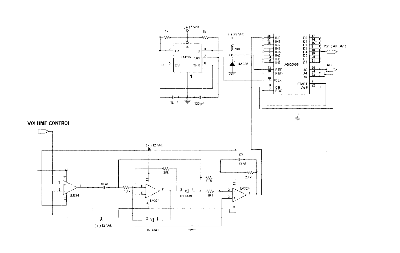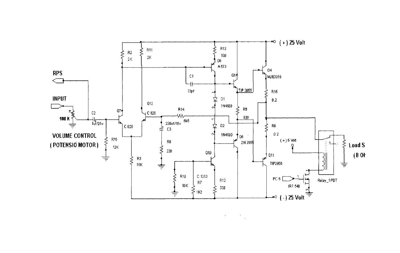

 $\label{eq:2} \mathcal{F}^{(1)}_{\text{max}} = \mathcal{F}^{(1)}_{\text{max}}$